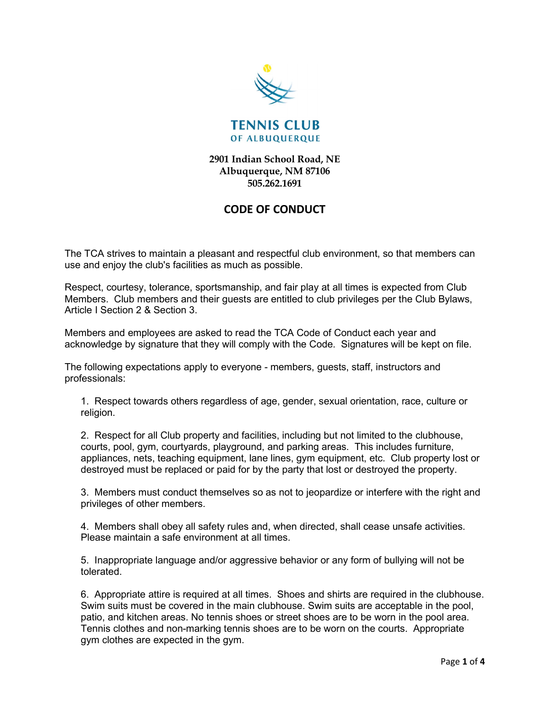

2901 Indian School Road, NE Albuquerque, NM 87106 505.262.1691

## CODE OF CONDUCT

The TCA strives to maintain a pleasant and respectful club environment, so that members can use and enjoy the club's facilities as much as possible.

Respect, courtesy, tolerance, sportsmanship, and fair play at all times is expected from Club Members. Club members and their guests are entitled to club privileges per the Club Bylaws, Article I Section 2 & Section 3.

Members and employees are asked to read the TCA Code of Conduct each year and acknowledge by signature that they will comply with the Code. Signatures will be kept on file.

The following expectations apply to everyone - members, guests, staff, instructors and professionals:

1. Respect towards others regardless of age, gender, sexual orientation, race, culture or religion.

2. Respect for all Club property and facilities, including but not limited to the clubhouse, courts, pool, gym, courtyards, playground, and parking areas. This includes furniture, appliances, nets, teaching equipment, lane lines, gym equipment, etc. Club property lost or destroyed must be replaced or paid for by the party that lost or destroyed the property.

3. Members must conduct themselves so as not to jeopardize or interfere with the right and privileges of other members.

4. Members shall obey all safety rules and, when directed, shall cease unsafe activities. Please maintain a safe environment at all times.

5. Inappropriate language and/or aggressive behavior or any form of bullying will not be tolerated.

6. Appropriate attire is required at all times. Shoes and shirts are required in the clubhouse. Swim suits must be covered in the main clubhouse. Swim suits are acceptable in the pool, patio, and kitchen areas. No tennis shoes or street shoes are to be worn in the pool area. Tennis clothes and non-marking tennis shoes are to be worn on the courts. Appropriate gym clothes are expected in the gym.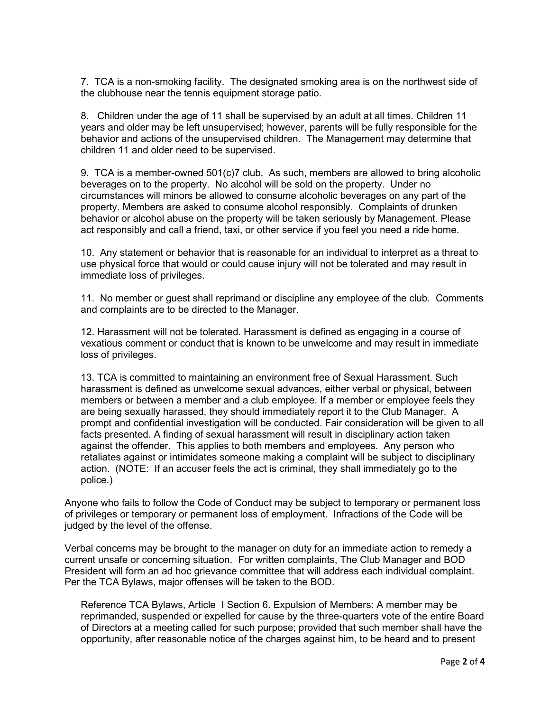7. TCA is a non-smoking facility. The designated smoking area is on the northwest side of the clubhouse near the tennis equipment storage patio.

8. Children under the age of 11 shall be supervised by an adult at all times. Children 11 years and older may be left unsupervised; however, parents will be fully responsible for the behavior and actions of the unsupervised children. The Management may determine that children 11 and older need to be supervised.

9. TCA is a member-owned 501(c)7 club. As such, members are allowed to bring alcoholic beverages on to the property. No alcohol will be sold on the property. Under no circumstances will minors be allowed to consume alcoholic beverages on any part of the property. Members are asked to consume alcohol responsibly. Complaints of drunken behavior or alcohol abuse on the property will be taken seriously by Management. Please act responsibly and call a friend, taxi, or other service if you feel you need a ride home.

10. Any statement or behavior that is reasonable for an individual to interpret as a threat to use physical force that would or could cause injury will not be tolerated and may result in immediate loss of privileges.

11. No member or guest shall reprimand or discipline any employee of the club. Comments and complaints are to be directed to the Manager.

12. Harassment will not be tolerated. Harassment is defined as engaging in a course of vexatious comment or conduct that is known to be unwelcome and may result in immediate loss of privileges.

13. TCA is committed to maintaining an environment free of Sexual Harassment. Such harassment is defined as unwelcome sexual advances, either verbal or physical, between members or between a member and a club employee. If a member or employee feels they are being sexually harassed, they should immediately report it to the Club Manager. A prompt and confidential investigation will be conducted. Fair consideration will be given to all facts presented. A finding of sexual harassment will result in disciplinary action taken against the offender. This applies to both members and employees. Any person who retaliates against or intimidates someone making a complaint will be subject to disciplinary action. (NOTE: If an accuser feels the act is criminal, they shall immediately go to the police.)

Anyone who fails to follow the Code of Conduct may be subject to temporary or permanent loss of privileges or temporary or permanent loss of employment. Infractions of the Code will be judged by the level of the offense.

Verbal concerns may be brought to the manager on duty for an immediate action to remedy a current unsafe or concerning situation. For written complaints, The Club Manager and BOD President will form an ad hoc grievance committee that will address each individual complaint. Per the TCA Bylaws, major offenses will be taken to the BOD.

Reference TCA Bylaws, Article I Section 6. Expulsion of Members: A member may be reprimanded, suspended or expelled for cause by the three-quarters vote of the entire Board of Directors at a meeting called for such purpose; provided that such member shall have the opportunity, after reasonable notice of the charges against him, to be heard and to present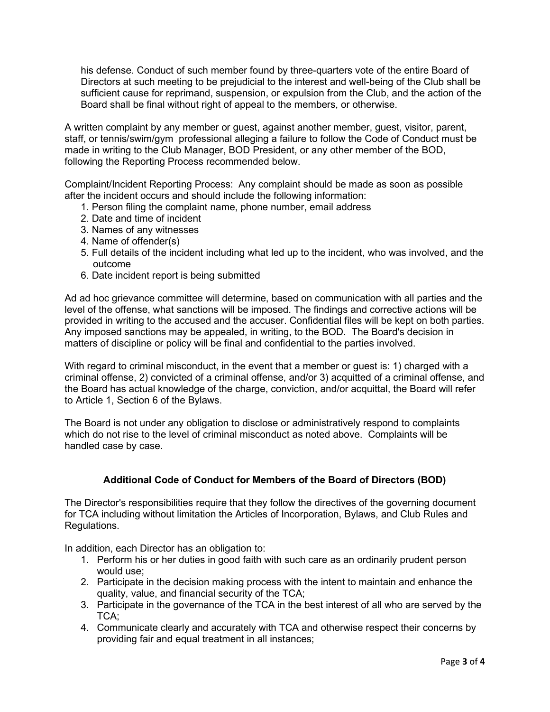his defense. Conduct of such member found by three-quarters vote of the entire Board of Directors at such meeting to be prejudicial to the interest and well-being of the Club shall be sufficient cause for reprimand, suspension, or expulsion from the Club, and the action of the Board shall be final without right of appeal to the members, or otherwise.

A written complaint by any member or guest, against another member, guest, visitor, parent, staff, or tennis/swim/gym professional alleging a failure to follow the Code of Conduct must be made in writing to the Club Manager, BOD President, or any other member of the BOD, following the Reporting Process recommended below.

Complaint/Incident Reporting Process: Any complaint should be made as soon as possible after the incident occurs and should include the following information:

- 1. Person filing the complaint name, phone number, email address
- 2. Date and time of incident
- 3. Names of any witnesses
- 4. Name of offender(s)
- 5. Full details of the incident including what led up to the incident, who was involved, and the outcome
- 6. Date incident report is being submitted

Ad ad hoc grievance committee will determine, based on communication with all parties and the level of the offense, what sanctions will be imposed. The findings and corrective actions will be provided in writing to the accused and the accuser. Confidential files will be kept on both parties. Any imposed sanctions may be appealed, in writing, to the BOD. The Board's decision in matters of discipline or policy will be final and confidential to the parties involved.

With regard to criminal misconduct, in the event that a member or guest is: 1) charged with a criminal offense, 2) convicted of a criminal offense, and/or 3) acquitted of a criminal offense, and the Board has actual knowledge of the charge, conviction, and/or acquittal, the Board will refer to Article 1, Section 6 of the Bylaws.

The Board is not under any obligation to disclose or administratively respond to complaints which do not rise to the level of criminal misconduct as noted above. Complaints will be handled case by case.

## Additional Code of Conduct for Members of the Board of Directors (BOD)

The Director's responsibilities require that they follow the directives of the governing document for TCA including without limitation the Articles of Incorporation, Bylaws, and Club Rules and Regulations.

In addition, each Director has an obligation to:

- 1. Perform his or her duties in good faith with such care as an ordinarily prudent person would use;
- 2. Participate in the decision making process with the intent to maintain and enhance the quality, value, and financial security of the TCA;
- 3. Participate in the governance of the TCA in the best interest of all who are served by the TCA;
- 4. Communicate clearly and accurately with TCA and otherwise respect their concerns by providing fair and equal treatment in all instances;